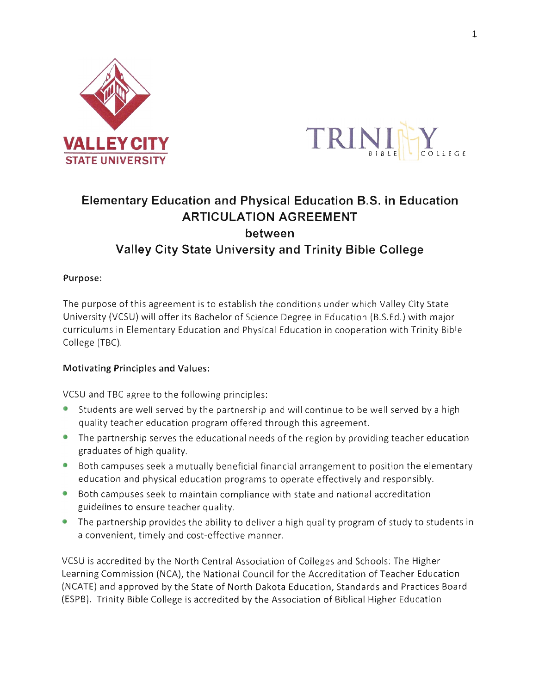



# Elementary Education and Physical Education B.S. in Education **ARTICULATION AGREEMENT** between Valley City State University and Trinity Bible Gollege

#### Purpose:

The purpose of this agreement is to establish the conditions under which Valley City State University (VCSU)will offer its Bachelor of Science Degree in Education (B.S.Ed.)with major curriculums in Elementary Education and Physical Education in cooperation with Trinity Bible College (TBC).

#### Motivating Principles and Values:

VCSU and TBC agree to the following principles:

- Students are well served by the partnership and will continue to be well served by a high quality teacher education program offered through this agreement.
- $\bullet$  The partnership serves the educational needs of the region by providing teacher education graduates of high quality,
- o Both campuses seek a mutually beneficial financial arrangement to position the elementary education and physical education programs to operate effectively and responsibly.
- **•** Both campuses seek to maintain compliance with state and national accreditation guidelines to ensure teacher quality.
- $\bullet$  The partnership provides the ability to deliver a high quality program of study to students in a convenient, timely and cost-effective manner.

VCSU is accredited by the North Central Association of Colleges and Schools: The Higher Learning Commission (NCA), the National Council for the Accreditation of Teacher Education (NCATE) and approved by the State of North Dakota Education, Standards and Practices Board (ESPB). Trinity Bible College is accredited by the Association of Biblical Higher Education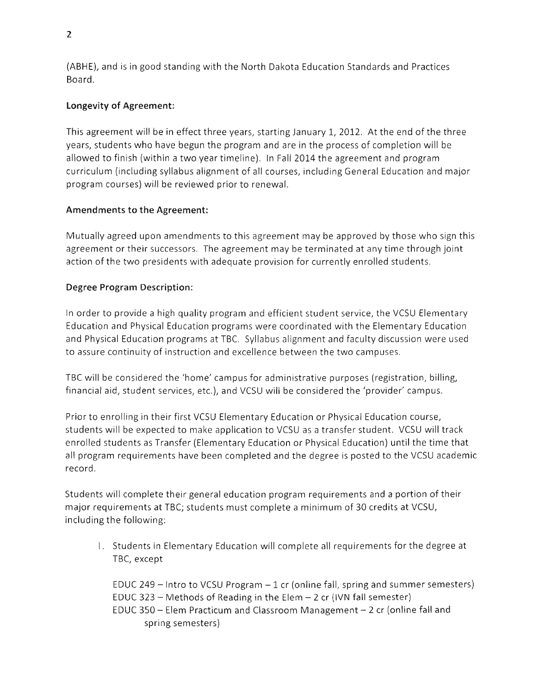(ABHE), and is in good standing with the North Dakota Education Standards and Practices Board.

## Longevity of Agreement:

This agreement will be in effect three years, starting January 1, 2012. At the end of the three years, students who have begun the program and are in the process of completion will be allowed to finish (within a two year timeline). In Fall 2014 the agreement and program curriculum (including syllabus alignment of all courses, including General Education and major program courses) will be reviewed prior to renewal.

## Amendments to the Agreement:

Mutually agreed upon amendments to this agreement may be approved by those who sign this agreement or their successors. The agreement may be terminated at any time through joint action of the two presidents with adequate provision for currently enrolled students.

## Degree Program Description:

ln order to provide a high quality program and efficient student service, the VCSU Elementary Education and Physical Education programs were coordinated with the Elementary Education and Physical Education programs at TBC. Syllabus alignment and faculty discussion were used to assure continuity of instruction and excellence between the two campuses.

TBC will be considered the 'home' campus for administrative purposes (registration, billing, financial aid, student services, etc.), and VCSU will be considered the 'provider' campus.

Prior to enrolling in their first VCSU Elementary Education or Physical Education course, students will be expected to make application to VCSU as a transfer student. VCSU will track enrolled students as Transfer (Elementary Education or Physical Education) until the time that all program requirements have been completed and the degree is posted to the VCSU academic record.

Students will complete their general education program requirements and a portion of their major requirements at TBC; students must complete a minimum of 30 credits at VCSU, including the following:

1. Students in Elementary Education will complete all requirements for the degree at TBC, except

EDUC 249  $-$  lntro to VCSU Program  $-1$  cr (online fall, spring and summer semesters) EDUC 323  $-$  Methods of Reading in the Elem  $-$  2 cr (IVN fall semester) EDUC 350  $-$  Elem Practicum and Classroom Management  $-$  2 cr (online fall and spring semesters)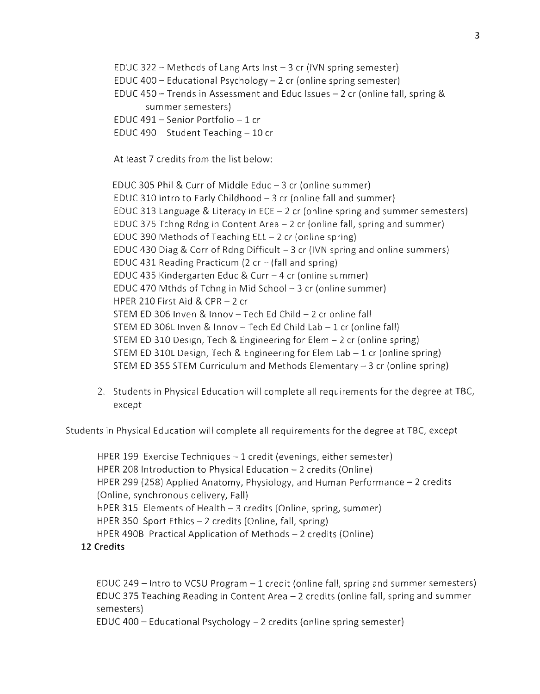EDUC 322 - Methods of Lang Arts Inst  $-$  3 cr (IVN spring semester) EDUC 400 - Educational Psychology - 2 cr (online spring semester) EDUC 450 - Trends in Assessment and Educ lssues - 2 cr (online fall, spring & summer semesters) EDUC 491 - Senior Portfolio -  $1$  cr

EDUC 490  $-$  Student Teaching  $-10$  cr

At least 7 credits from the list below:

EDUC 305 Phil & Curr of Middle Educ  $-3$  cr (online summer) EDUC 310 Intro to Early Childhood  $-3$  cr (online fall and summer) EDUC 313 Language & Literacy in ECE  $-2$  cr (online spring and summer semesters) EDUC 375 Tchng Rdng in Content Area - 2 cr (online fall, spring and summer) EDUC 390 Methods of Teaching  $ELL - 2$  cr (online spring) EDUC 430 Diag & Corr of Rdng Difficult  $-3$  cr (IVN spring and online summers) EDUC 431 Reading Practicum (2 cr  $-$  (fall and spring) EDUC 435 Kindergarten Educ & Curr - 4 cr (online summer) EDUC 470 Mthds of Tchng in Mid School  $-3$  cr (online summer) HPER 210 First Aid & CPR  $-$  2 cr STEM ED 306 Inven & Innov  $-$  Tech Ed Child  $-$  2 cr online fall STEM ED 306L Inven & Innov - Tech Ed Child Lab  $-1$  cr (online fall) STEM ED 310 Design, Tech & Engineering for Elem - 2 cr (online spring) STEM ED 310L Design, Tech & Engineering for Elem Lab  $-1$  cr (online spring) STEM ED 355 STEM Curriculum and Methods Elementary  $-3$  cr (online spring)

2. Students in Physical Education will complete all requirements for the degree at TBC, except

Students in Physical Education will complete all requirements for the degree at TBC, except

HPER 199 Exercise Techniques - 1 credit (evenings, either semester) HPER 208 Introduction to Physical Education  $-2$  credits (Online) HPER 299 (258) Applied Anatomy, Physiology, and Human Performance  $-2$  credits (Online, synchronous delivery, Fall) HPER 315 Elements of Health  $-$  3 credits (Online, spring, summer) HPER 350 Sport Ethics  $-2$  credits (Online, fall, spring) HPER 490B Practical Application of Methods  $-2$  credits (Online)

12 Credits

EDUC 249  $-$  lntro to VCSU Program  $-1$  credit (online fall, spring and summer semesters) EDUC 375 Teaching Reading in Content Area  $-2$  credits (online fall, spring and summer semesters)

EDUC 400 - Educational Psychology - 2 credits (online spring semester)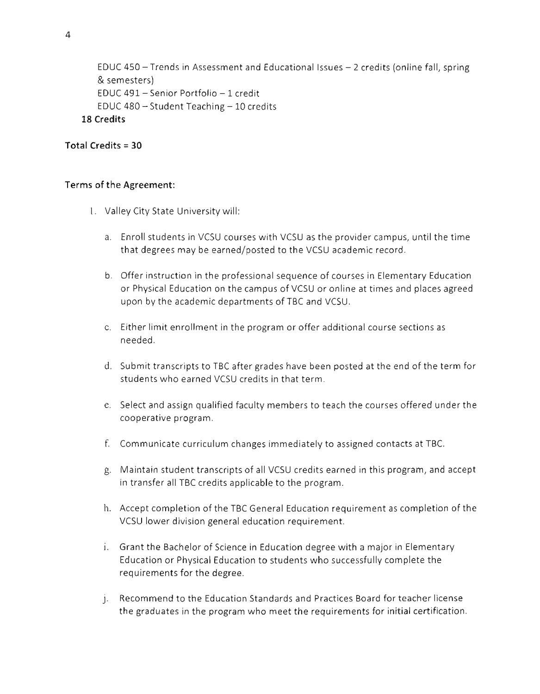```
EDUC 450 - Trends in Assessment and Educational Issues - 2 credits (online fall, spring
   & semesters)
   EDUC 491 - Senior Portfolio - 1 credit
   EDUC 480 - Student Teaching -10 credits
18 Credits
```
## Total Credits = 30

#### Terms of the Agreement:

- 1. Valley City State University will:
	- a. Enroll students in VCSU courses with VCSU as the provider campus, until the time that degrees may be earned/posted to the VCSU academic record.
	- b. Offer instruction in the professional sequence of courses in Elementary Education or Physical Education on the campus of VCSU or online at times and places agreed upon by the academic departments of TBC and VCSU.
	- c. Either limit enrollment in the program or offer additional course sections as needed.
	- d. Submit transcripts to TBC after grades have been posted at the end of the term for students who earned VCSU credits in that term.
	- e. Select and assign qualified faculty membersto teach the courses offered underthe cooperative program.
	- f. Communicate curriculum changes immediately to assigned contacts at TBC.
	- g. Maintain student transcripts of all VCSU credits earned in this program, and accept in transfer all TBC credits applicable to the program.
	- h. Accept completion of the TBC General Education requirement as completion of the VCSU lower division general education requirement.
	- i. Grant the Bachelor of Science in Education degree with a major in Elementary Education or Physical Education to students who successfully complete the requirements for the degree.
	- j. Recommend to the Education Standards and Practices Board for teacher license the graduates in the program who meet the requirements for initial certification.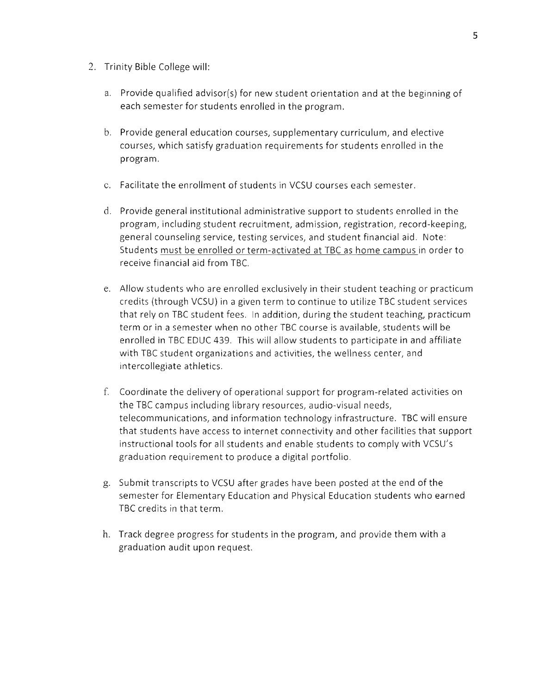- 2. Trinity Bible College will:
	- a. Provide qualified advisor(s) for new student orientation and at the beginning of each semester for students enrolled in the program.
	- b. Provide general education courses, supplementary curriculum, and elective courses, which satisfy graduation requirements for students enrolled in the program.
	- c. Facilitate the enrollment of students in VCSU courses each semester.
	- d. Provide general institutional administrative support to students enrolled in the program, including student recruitment, admission, registration, record-keeping, general counseling service, testing services, and student financial aid, Note: Students must be enrolled or term-activated at TBC as home campus in order to receive financial aid from TBC.
	- e. Allow students who are enrolled exclusively in their student teaching or practicum credits {through VCSU) in a given term to continue to utilize TBC student services that rely on TBC student fees. ln addition, during the student teaching, practicum term or in a semester when no other TBC course is available, students will be enrolled in TBC EDUC 439. This will allow students to participate in and affiliate with TBC student organizations and activities, the wellness center, and intercollegiate athletics.
	- f. Coordinate the delivery of operational support for program-related activities on the TBC campus including library resources, audio-visual needs, telecommunications, and information technology infrastructure. TBC will ensure that students have access to internet connectivity and other facilities that support instructional tools for all students and enable students to comply with VCSU's graduation requirement to produce a digital portfolio.
	- g. Submit transcripts to VCSU after grades have been posted at the end of the semester for Elementary Education and Physical Education students who earned TBC credits in that term.
	- h. Track degree progress for students in the program, and provide them with a graduation audit upon request.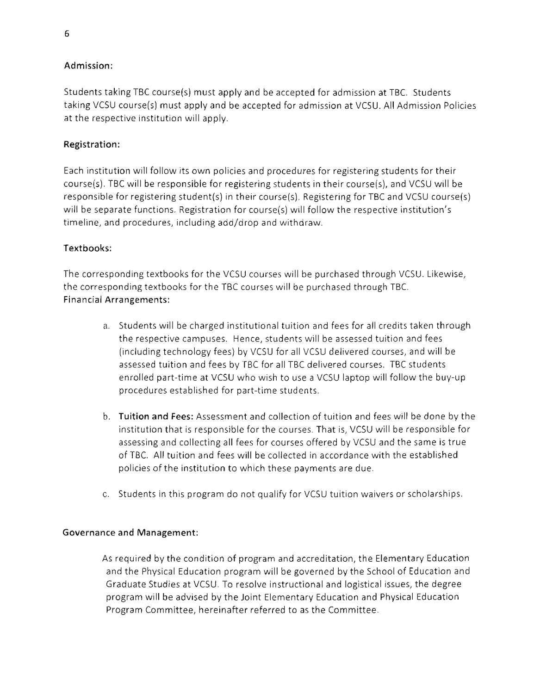## Admission:

Students taking TBC course(s) must apply and be accepted for admission at TBC. Students taking VCSU course{s) must apply and be accepted for admission at VCSU. All Admission Policies at the respective institution will apply.

## Registration:

Each institution will follow its own policies and procedures for registering students for their course(s). TBC will be responsible for registering students in their course(s), and VCSU will be responsible for registering student(s) in their course(s). Registering for TBC and VCSU course(s) will be separate functions. Registration for course(s) will follow the respective institution's timeline, and procedures, including add/drop and withdraw.

## Textbooks:

The corresponding textbooks for the VCSU courses will be purchased through VCSU. Likewise, the corresponding textbooks for the TBC courses will be purchased through TBC. Financial Arrangements:

- a. Students will be charged institutional tuition and fees for all credits taken through the respective campuses. Hence, students will be assessed tuition and fees (including technology fees) by VCSU for all VCSU delivered courses, and will be assessed tuition and fees by TBC for all TBC delivered courses. TBC students enrolled part-time at VCSU who wish to use a VCSU laptop will follow the buy-up procedures established for part-time students.
- b. Tuition and Fees: Assessment and collection of tuition and fees will be done by the institution that is responsible for the courses. That is, VCSU will be responsible for assessing and collecting all fees for courses offered by VCSU and the same is true of TBC. Alltuition and fees will be collected in accordance with the established policies of the institution to which these payments are due.
- c. Students in this program do not qualify for VCSU tuition waivers or scholarships.

#### Governance and Management:

As required by the condition of program and accreditation, the Elementary Education and the Physical Education program will be governed by the School of Education and Graduate Studies at VCSU. To resolve instructional and logistical issues, the degree program will be advised by the Joint Elementary Education and Physical Education Program Committee, hereinafter referred to as the Committee.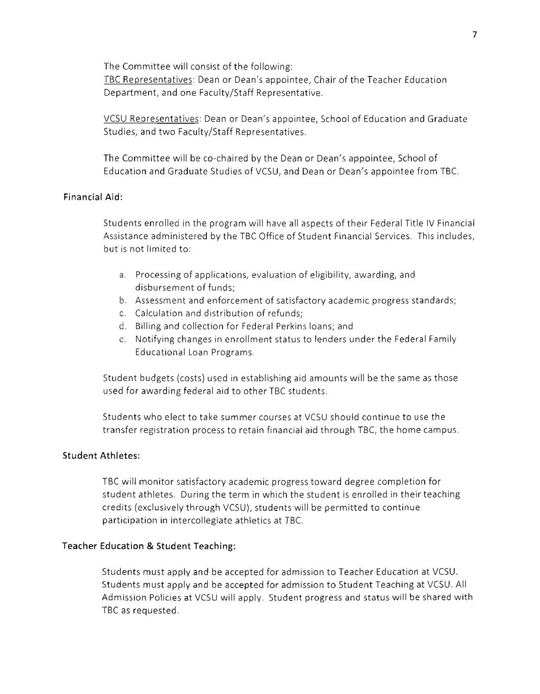The Committee will consist of the following: TBC Representatives: Dean or Dean's appointee, Chair of the Teacher Education Department, and one Faculty/Staff Representative.

VCSU Representatives: Dean or Dean's appointee, School of Education and Graduate Studies, and two Faculty/Staff Representatives.

The Committee will be co-chaired by the Dean or Dean's appointee, School of Education and Graduate Studies of VCSU, and Dean or Dean's appointee from TBC.

#### Financial Aid:

Students enrolled in the program will have all aspects of their Federal Title IV Financial Assistance administered by the TBC Office of Student Financial Services, This includes, but is not limited to:

- a. Processing of applications, evaluation of eligibility, awarding, and disbursement of funds;
- b. Assessment and enforcement of satisfactory academic progress standards;
- c. Calculation and distribution of refunds;
- d. Billing and collection for Federal Perkins loans; and
- e. Notifying changes in enrollment status to lenders under the Federal Family Educational Loan Programs.

Student budgets (costs) used in establishing aid amounts will be the same as those used for awarding federal aid to other TBC students.

Students who elect to take summer courses at VCSU should continue to use the transfer registration process to retain financial aid through TBC, the home campus.

#### Student Athletes:

TBC will monitor satisfactory academic progress toward degree completion for student athletes. During the term in which the student is enrolled in their teaching credits (exclusively through VCSU), students will be permitted to continue participation in intercollegiate athletics at TBC.

#### Teacher Education & Student Teaching:

Students must apply and be accepted for admission to Teacher Education at VCSU. Students must apply and be accepted for admission to Student Teaching at VCSU. All Admission Policies at VCSU will apply. Student progress and status will be shared with TBC as requested.